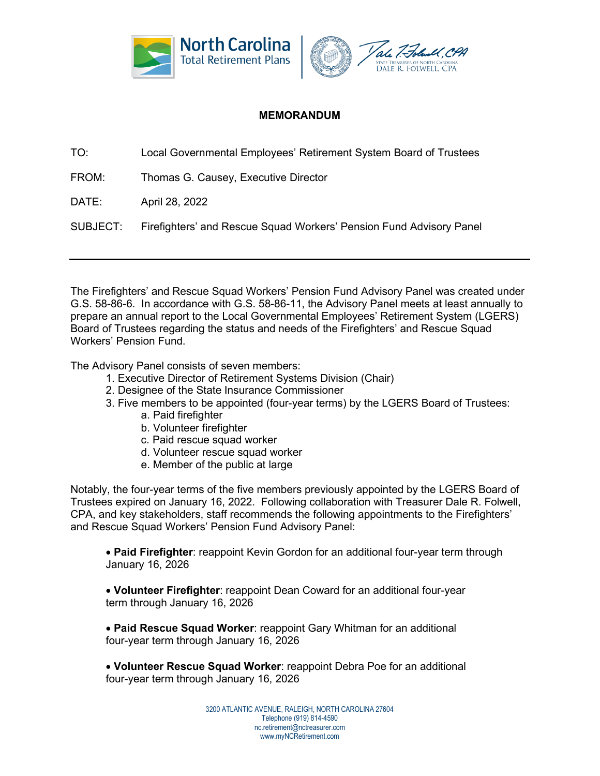

## **MEMORANDUM**

TO: Local Governmental Employees' Retirement System Board of Trustees

FROM: Thomas G. Causey, Executive Director

DATE: April 28, 2022

SUBJECT: Firefighters' and Rescue Squad Workers' Pension Fund Advisory Panel

The Firefighters' and Rescue Squad Workers' Pension Fund Advisory Panel was created under G.S. 58-86-6. In accordance with G.S. 58-86-11, the Advisory Panel meets at least annually to prepare an annual report to the Local Governmental Employees' Retirement System (LGERS) Board of Trustees regarding the status and needs of the Firefighters' and Rescue Squad Workers' Pension Fund.

The Advisory Panel consists of seven members:

- 1. Executive Director of Retirement Systems Division (Chair)
- 2. Designee of the State Insurance Commissioner
- 3. Five members to be appointed (four-year terms) by the LGERS Board of Trustees:
	- a. Paid firefighter
	- b. Volunteer firefighter
	- c. Paid rescue squad worker
	- d. Volunteer rescue squad worker
	- e. Member of the public at large

Notably, the four-year terms of the five members previously appointed by the LGERS Board of Trustees expired on January 16, 2022. Following collaboration with Treasurer Dale R. Folwell, CPA, and key stakeholders, staff recommends the following appointments to the Firefighters' and Rescue Squad Workers' Pension Fund Advisory Panel:

• **Paid Firefighter**: reappoint Kevin Gordon for an additional four-year term through January 16, 2026

• **Volunteer Firefighter**: reappoint Dean Coward for an additional four-year term through January 16, 2026

• **Paid Rescue Squad Worker**: reappoint Gary Whitman for an additional four-year term through January 16, 2026

• **Volunteer Rescue Squad Worker**: reappoint Debra Poe for an additional four-year term through January 16, 2026